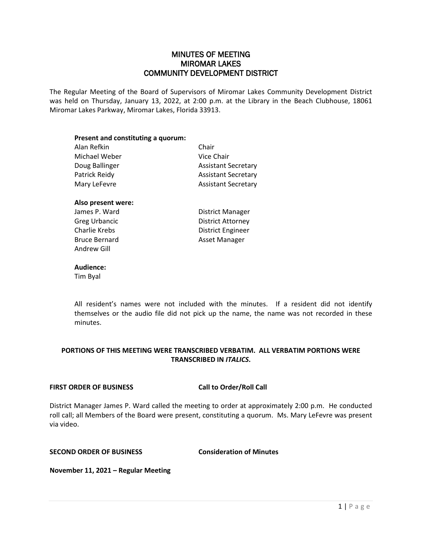### MINUTES OF MEETING MIROMAR LAKES COMMUNITY DEVELOPMENT DISTRICT

The Regular Meeting of the Board of Supervisors of Miromar Lakes Community Development District was held on Thursday, January 13, 2022, at 2:00 p.m. at the Library in the Beach Clubhouse, 18061 Miromar Lakes Parkway, Miromar Lakes, Florida 33913.

## **Present and constituting a quorum:** Alan Refkin Chair Michael Weber **Vice Chair** Doug Ballinger **Assistant Secretary** Patrick Reidy **Assistant Secretary** Mary LeFevre **Assistant Secretary Also present were:** James P. Ward **District Manager**

Bruce Bernard **Asset Manager** Andrew Gill

Greg Urbancic District Attorney Charlie Krebs District Engineer

#### **Audience:**

Tim Byal

All resident's names were not included with the minutes. If a resident did not identify themselves or the audio file did not pick up the name, the name was not recorded in these minutes.

### **PORTIONS OF THIS MEETING WERE TRANSCRIBED VERBATIM. ALL VERBATIM PORTIONS WERE TRANSCRIBED IN** *ITALICS***.**

#### **FIRST ORDER OF BUSINESS Call to Order/Roll Call**

District Manager James P. Ward called the meeting to order at approximately 2:00 p.m. He conducted roll call; all Members of the Board were present, constituting a quorum. Ms. Mary LeFevre was present via video.

### **SECOND ORDER OF BUSINESS Consideration of Minutes**

**November 11, 2021 – Regular Meeting**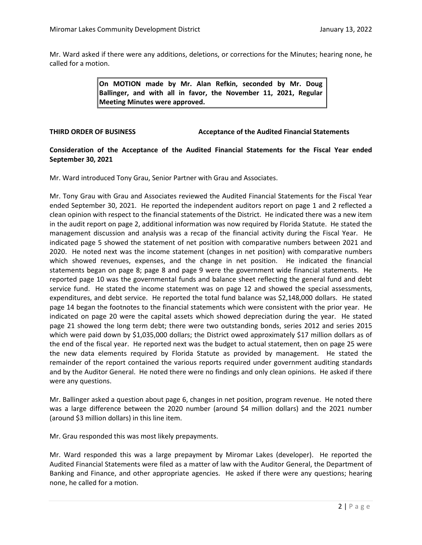Mr. Ward asked if there were any additions, deletions, or corrections for the Minutes; hearing none, he called for a motion.

> **On MOTION made by Mr. Alan Refkin, seconded by Mr. Doug Ballinger, and with all in favor, the November 11, 2021, Regular Meeting Minutes were approved.**

#### **THIRD ORDER OF BUSINESS Acceptance of the Audited Financial Statements**

#### **Consideration of the Acceptance of the Audited Financial Statements for the Fiscal Year ended September 30, 2021**

Mr. Ward introduced Tony Grau, Senior Partner with Grau and Associates.

Mr. Tony Grau with Grau and Associates reviewed the Audited Financial Statements for the Fiscal Year ended September 30, 2021. He reported the independent auditors report on page 1 and 2 reflected a clean opinion with respect to the financial statements of the District. He indicated there was a new item in the audit report on page 2, additional information was now required by Florida Statute. He stated the management discussion and analysis was a recap of the financial activity during the Fiscal Year. He indicated page 5 showed the statement of net position with comparative numbers between 2021 and 2020. He noted next was the income statement (changes in net position) with comparative numbers which showed revenues, expenses, and the change in net position. He indicated the financial statements began on page 8; page 8 and page 9 were the government wide financial statements. He reported page 10 was the governmental funds and balance sheet reflecting the general fund and debt service fund. He stated the income statement was on page 12 and showed the special assessments, expenditures, and debt service. He reported the total fund balance was \$2,148,000 dollars. He stated page 14 began the footnotes to the financial statements which were consistent with the prior year. He indicated on page 20 were the capital assets which showed depreciation during the year. He stated page 21 showed the long term debt; there were two outstanding bonds, series 2012 and series 2015 which were paid down by \$1,035,000 dollars; the District owed approximately \$17 million dollars as of the end of the fiscal year. He reported next was the budget to actual statement, then on page 25 were the new data elements required by Florida Statute as provided by management. He stated the remainder of the report contained the various reports required under government auditing standards and by the Auditor General. He noted there were no findings and only clean opinions. He asked if there were any questions.

Mr. Ballinger asked a question about page 6, changes in net position, program revenue. He noted there was a large difference between the 2020 number (around \$4 million dollars) and the 2021 number (around \$3 million dollars) in this line item.

Mr. Grau responded this was most likely prepayments.

Mr. Ward responded this was a large prepayment by Miromar Lakes (developer). He reported the Audited Financial Statements were filed as a matter of law with the Auditor General, the Department of Banking and Finance, and other appropriate agencies. He asked if there were any questions; hearing none, he called for a motion.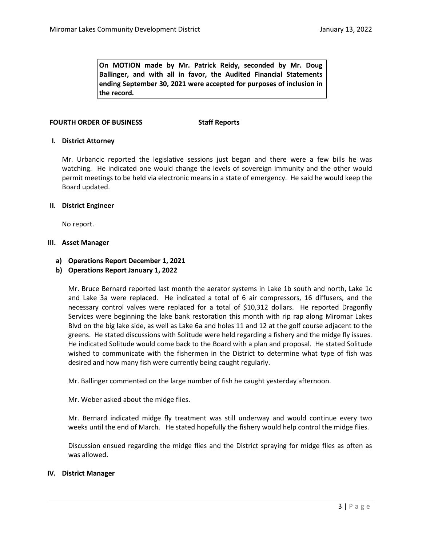**On MOTION made by Mr. Patrick Reidy, seconded by Mr. Doug Ballinger, and with all in favor, the Audited Financial Statements ending September 30, 2021 were accepted for purposes of inclusion in the record.** 

#### **FOURTH ORDER OF BUSINESS Staff Reports**

#### **I. District Attorney**

Mr. Urbancic reported the legislative sessions just began and there were a few bills he was watching. He indicated one would change the levels of sovereign immunity and the other would permit meetings to be held via electronic means in a state of emergency. He said he would keep the Board updated.

#### **II. District Engineer**

No report.

#### **III. Asset Manager**

#### **a) Operations Report December 1, 2021**

**b) Operations Report January 1, 2022**

Mr. Bruce Bernard reported last month the aerator systems in Lake 1b south and north, Lake 1c and Lake 3a were replaced. He indicated a total of 6 air compressors, 16 diffusers, and the necessary control valves were replaced for a total of \$10,312 dollars. He reported Dragonfly Services were beginning the lake bank restoration this month with rip rap along Miromar Lakes Blvd on the big lake side, as well as Lake 6a and holes 11 and 12 at the golf course adjacent to the greens. He stated discussions with Solitude were held regarding a fishery and the midge fly issues. He indicated Solitude would come back to the Board with a plan and proposal. He stated Solitude wished to communicate with the fishermen in the District to determine what type of fish was desired and how many fish were currently being caught regularly.

Mr. Ballinger commented on the large number of fish he caught yesterday afternoon.

Mr. Weber asked about the midge flies.

Mr. Bernard indicated midge fly treatment was still underway and would continue every two weeks until the end of March. He stated hopefully the fishery would help control the midge flies.

Discussion ensued regarding the midge flies and the District spraying for midge flies as often as was allowed.

#### **IV. District Manager**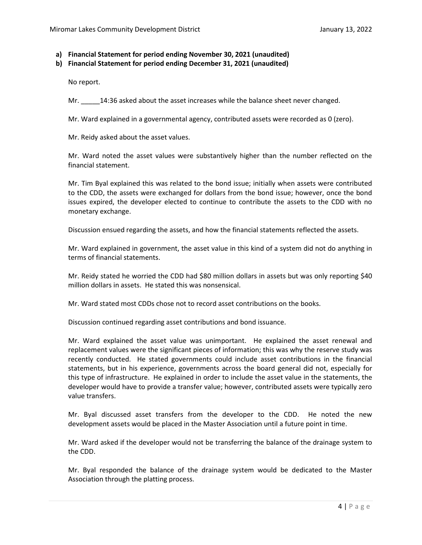**a) Financial Statement for period ending November 30, 2021 (unaudited)**

**b) Financial Statement for period ending December 31, 2021 (unaudited)**

No report.

Mr.  $14:36$  asked about the asset increases while the balance sheet never changed.

Mr. Ward explained in a governmental agency, contributed assets were recorded as 0 (zero).

Mr. Reidy asked about the asset values.

Mr. Ward noted the asset values were substantively higher than the number reflected on the financial statement.

Mr. Tim Byal explained this was related to the bond issue; initially when assets were contributed to the CDD, the assets were exchanged for dollars from the bond issue; however, once the bond issues expired, the developer elected to continue to contribute the assets to the CDD with no monetary exchange.

Discussion ensued regarding the assets, and how the financial statements reflected the assets.

Mr. Ward explained in government, the asset value in this kind of a system did not do anything in terms of financial statements.

Mr. Reidy stated he worried the CDD had \$80 million dollars in assets but was only reporting \$40 million dollars in assets. He stated this was nonsensical.

Mr. Ward stated most CDDs chose not to record asset contributions on the books.

Discussion continued regarding asset contributions and bond issuance.

Mr. Ward explained the asset value was unimportant. He explained the asset renewal and replacement values were the significant pieces of information; this was why the reserve study was recently conducted. He stated governments could include asset contributions in the financial statements, but in his experience, governments across the board general did not, especially for this type of infrastructure. He explained in order to include the asset value in the statements, the developer would have to provide a transfer value; however, contributed assets were typically zero value transfers.

Mr. Byal discussed asset transfers from the developer to the CDD. He noted the new development assets would be placed in the Master Association until a future point in time.

Mr. Ward asked if the developer would not be transferring the balance of the drainage system to the CDD.

Mr. Byal responded the balance of the drainage system would be dedicated to the Master Association through the platting process.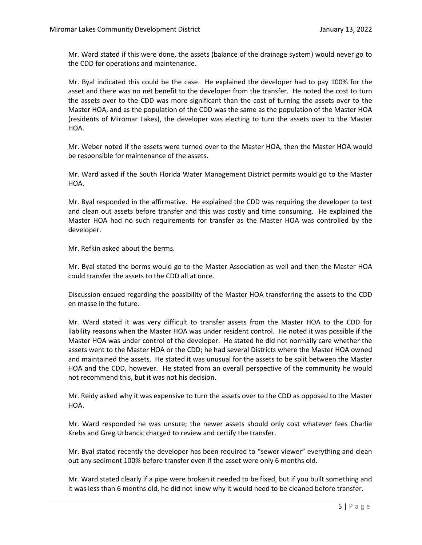Mr. Ward stated if this were done, the assets (balance of the drainage system) would never go to the CDD for operations and maintenance.

Mr. Byal indicated this could be the case. He explained the developer had to pay 100% for the asset and there was no net benefit to the developer from the transfer. He noted the cost to turn the assets over to the CDD was more significant than the cost of turning the assets over to the Master HOA, and as the population of the CDD was the same as the population of the Master HOA (residents of Miromar Lakes), the developer was electing to turn the assets over to the Master HOA.

Mr. Weber noted if the assets were turned over to the Master HOA, then the Master HOA would be responsible for maintenance of the assets.

Mr. Ward asked if the South Florida Water Management District permits would go to the Master HOA.

Mr. Byal responded in the affirmative. He explained the CDD was requiring the developer to test and clean out assets before transfer and this was costly and time consuming. He explained the Master HOA had no such requirements for transfer as the Master HOA was controlled by the developer.

Mr. Refkin asked about the berms.

Mr. Byal stated the berms would go to the Master Association as well and then the Master HOA could transfer the assets to the CDD all at once.

Discussion ensued regarding the possibility of the Master HOA transferring the assets to the CDD en masse in the future.

Mr. Ward stated it was very difficult to transfer assets from the Master HOA to the CDD for liability reasons when the Master HOA was under resident control. He noted it was possible if the Master HOA was under control of the developer. He stated he did not normally care whether the assets went to the Master HOA or the CDD; he had several Districts where the Master HOA owned and maintained the assets. He stated it was unusual for the assets to be split between the Master HOA and the CDD, however. He stated from an overall perspective of the community he would not recommend this, but it was not his decision.

Mr. Reidy asked why it was expensive to turn the assets over to the CDD as opposed to the Master HOA.

Mr. Ward responded he was unsure; the newer assets should only cost whatever fees Charlie Krebs and Greg Urbancic charged to review and certify the transfer.

Mr. Byal stated recently the developer has been required to "sewer viewer" everything and clean out any sediment 100% before transfer even if the asset were only 6 months old.

Mr. Ward stated clearly if a pipe were broken it needed to be fixed, but if you built something and it was less than 6 months old, he did not know why it would need to be cleaned before transfer.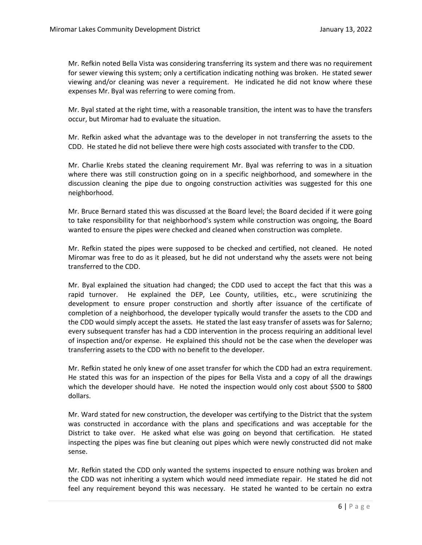Mr. Refkin noted Bella Vista was considering transferring its system and there was no requirement for sewer viewing this system; only a certification indicating nothing was broken. He stated sewer viewing and/or cleaning was never a requirement. He indicated he did not know where these expenses Mr. Byal was referring to were coming from.

Mr. Byal stated at the right time, with a reasonable transition, the intent was to have the transfers occur, but Miromar had to evaluate the situation.

Mr. Refkin asked what the advantage was to the developer in not transferring the assets to the CDD. He stated he did not believe there were high costs associated with transfer to the CDD.

Mr. Charlie Krebs stated the cleaning requirement Mr. Byal was referring to was in a situation where there was still construction going on in a specific neighborhood, and somewhere in the discussion cleaning the pipe due to ongoing construction activities was suggested for this one neighborhood.

Mr. Bruce Bernard stated this was discussed at the Board level; the Board decided if it were going to take responsibility for that neighborhood's system while construction was ongoing, the Board wanted to ensure the pipes were checked and cleaned when construction was complete.

Mr. Refkin stated the pipes were supposed to be checked and certified, not cleaned. He noted Miromar was free to do as it pleased, but he did not understand why the assets were not being transferred to the CDD.

Mr. Byal explained the situation had changed; the CDD used to accept the fact that this was a rapid turnover. He explained the DEP, Lee County, utilities, etc., were scrutinizing the development to ensure proper construction and shortly after issuance of the certificate of completion of a neighborhood, the developer typically would transfer the assets to the CDD and the CDD would simply accept the assets. He stated the last easy transfer of assets was for Salerno; every subsequent transfer has had a CDD intervention in the process requiring an additional level of inspection and/or expense. He explained this should not be the case when the developer was transferring assets to the CDD with no benefit to the developer.

Mr. Refkin stated he only knew of one asset transfer for which the CDD had an extra requirement. He stated this was for an inspection of the pipes for Bella Vista and a copy of all the drawings which the developer should have. He noted the inspection would only cost about \$500 to \$800 dollars.

Mr. Ward stated for new construction, the developer was certifying to the District that the system was constructed in accordance with the plans and specifications and was acceptable for the District to take over. He asked what else was going on beyond that certification. He stated inspecting the pipes was fine but cleaning out pipes which were newly constructed did not make sense.

Mr. Refkin stated the CDD only wanted the systems inspected to ensure nothing was broken and the CDD was not inheriting a system which would need immediate repair. He stated he did not feel any requirement beyond this was necessary. He stated he wanted to be certain no extra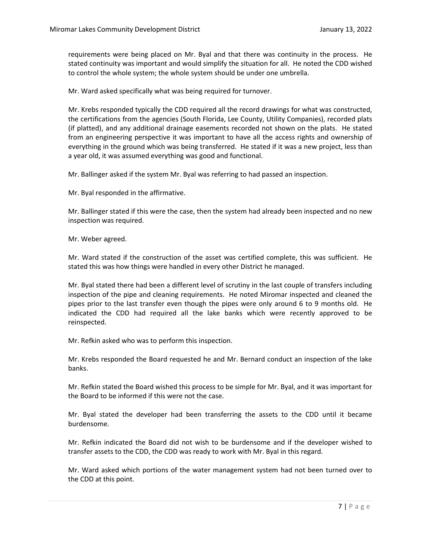requirements were being placed on Mr. Byal and that there was continuity in the process. He stated continuity was important and would simplify the situation for all. He noted the CDD wished to control the whole system; the whole system should be under one umbrella.

Mr. Ward asked specifically what was being required for turnover.

Mr. Krebs responded typically the CDD required all the record drawings for what was constructed, the certifications from the agencies (South Florida, Lee County, Utility Companies), recorded plats (if platted), and any additional drainage easements recorded not shown on the plats. He stated from an engineering perspective it was important to have all the access rights and ownership of everything in the ground which was being transferred. He stated if it was a new project, less than a year old, it was assumed everything was good and functional.

Mr. Ballinger asked if the system Mr. Byal was referring to had passed an inspection.

Mr. Byal responded in the affirmative.

Mr. Ballinger stated if this were the case, then the system had already been inspected and no new inspection was required.

Mr. Weber agreed.

Mr. Ward stated if the construction of the asset was certified complete, this was sufficient. He stated this was how things were handled in every other District he managed.

Mr. Byal stated there had been a different level of scrutiny in the last couple of transfers including inspection of the pipe and cleaning requirements. He noted Miromar inspected and cleaned the pipes prior to the last transfer even though the pipes were only around 6 to 9 months old. He indicated the CDD had required all the lake banks which were recently approved to be reinspected.

Mr. Refkin asked who was to perform this inspection.

Mr. Krebs responded the Board requested he and Mr. Bernard conduct an inspection of the lake banks.

Mr. Refkin stated the Board wished this process to be simple for Mr. Byal, and it was important for the Board to be informed if this were not the case.

Mr. Byal stated the developer had been transferring the assets to the CDD until it became burdensome.

Mr. Refkin indicated the Board did not wish to be burdensome and if the developer wished to transfer assets to the CDD, the CDD was ready to work with Mr. Byal in this regard.

Mr. Ward asked which portions of the water management system had not been turned over to the CDD at this point.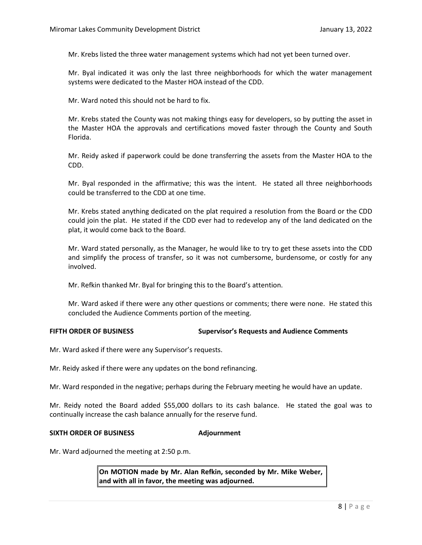Mr. Krebs listed the three water management systems which had not yet been turned over.

Mr. Byal indicated it was only the last three neighborhoods for which the water management systems were dedicated to the Master HOA instead of the CDD.

Mr. Ward noted this should not be hard to fix.

Mr. Krebs stated the County was not making things easy for developers, so by putting the asset in the Master HOA the approvals and certifications moved faster through the County and South Florida.

Mr. Reidy asked if paperwork could be done transferring the assets from the Master HOA to the CDD.

Mr. Byal responded in the affirmative; this was the intent. He stated all three neighborhoods could be transferred to the CDD at one time.

Mr. Krebs stated anything dedicated on the plat required a resolution from the Board or the CDD could join the plat. He stated if the CDD ever had to redevelop any of the land dedicated on the plat, it would come back to the Board.

Mr. Ward stated personally, as the Manager, he would like to try to get these assets into the CDD and simplify the process of transfer, so it was not cumbersome, burdensome, or costly for any involved.

Mr. Refkin thanked Mr. Byal for bringing this to the Board's attention.

Mr. Ward asked if there were any other questions or comments; there were none. He stated this concluded the Audience Comments portion of the meeting.

#### **FIFTH ORDER OF BUSINESS Supervisor's Requests and Audience Comments**

Mr. Ward asked if there were any Supervisor's requests.

Mr. Reidy asked if there were any updates on the bond refinancing.

Mr. Ward responded in the negative; perhaps during the February meeting he would have an update.

Mr. Reidy noted the Board added \$55,000 dollars to its cash balance. He stated the goal was to continually increase the cash balance annually for the reserve fund.

#### **SIXTH ORDER OF BUSINESS Adjournment**

Mr. Ward adjourned the meeting at 2:50 p.m.

**On MOTION made by Mr. Alan Refkin, seconded by Mr. Mike Weber, and with all in favor, the meeting was adjourned.**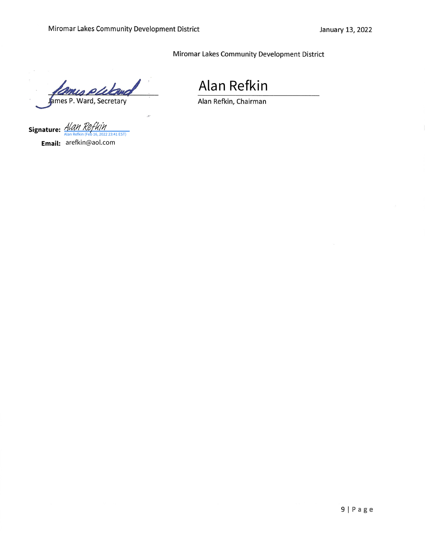Miromar Lakes Community Development District

James P. Ward, Secretary

 $\ddot{\cdot}$ 

Alan Refkin<br>Alan Refkin, Chairman

Signature: <u>[Alan Refkin](https://na2.documents.adobe.com/verifier?tx=CBJCHBCAABAAE1xmXEZiFp1vSjrQJcVzh_6lk2472P56) (Feb 16, 2022 23:41 EST)</u> **Email:** arefkin@aol.com